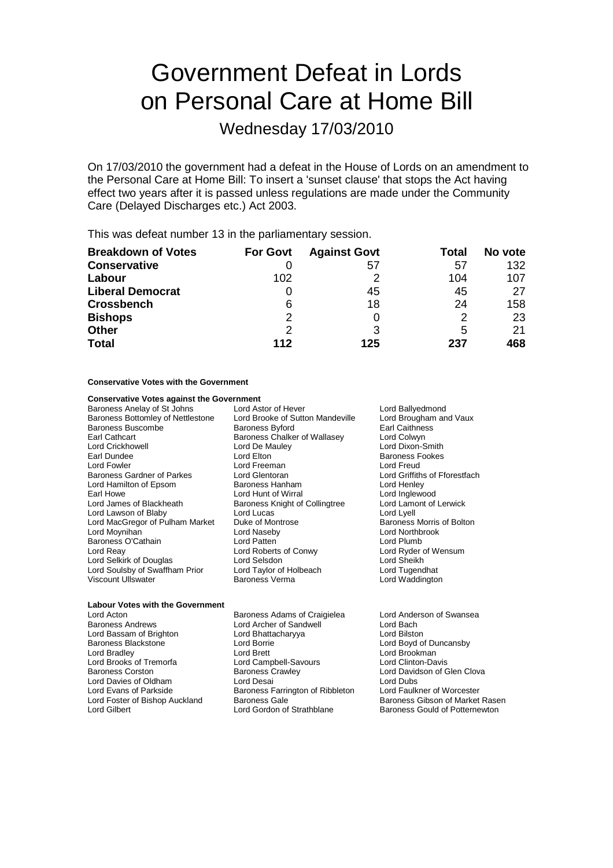# Government Defeat in Lords on Personal Care at Home Bill

Wednesday 17/03/2010

On 17/03/2010 the government had a defeat in the House of Lords on an amendment to the Personal Care at Home Bill: To insert a 'sunset clause' that stops the Act having effect two years after it is passed unless regulations are made under the Community Care (Delayed Discharges etc.) Act 2003.

This was defeat number 13 in the parliamentary session.

| <b>Breakdown of Votes</b> | <b>For Govt</b> | <b>Against Govt</b> | Total | No vote |
|---------------------------|-----------------|---------------------|-------|---------|
| <b>Conservative</b>       |                 | 57                  | 57    | 132     |
| Labour                    | 102             |                     | 104   | 107     |
| <b>Liberal Democrat</b>   |                 | 45                  | 45    | 27      |
| <b>Crossbench</b>         | 6               | 18                  | 24    | 158     |
| <b>Bishops</b>            | 2               |                     | 2     | 23      |
| <b>Other</b>              | 2               | 3                   | 5     | 21      |
| <b>Total</b>              | 112             | 125                 | 237   | 468     |

#### **Conservative Votes with the Government**

| <b>Conservative Votes against the Government</b> |                                  |                               |
|--------------------------------------------------|----------------------------------|-------------------------------|
| Baroness Anelay of St Johns                      | Lord Astor of Hever              | Lord Ballyedmond              |
| Baroness Bottomley of Nettlestone                | Lord Brooke of Sutton Mandeville | Lord Brougham and Vaux        |
| Baroness Buscombe                                | <b>Baroness Byford</b>           | <b>Earl Caithness</b>         |
| Earl Cathcart                                    | Baroness Chalker of Wallasey     | Lord Colwyn                   |
| Lord Crickhowell                                 | Lord De Mauley                   | Lord Dixon-Smith              |
| Earl Dundee                                      | Lord Elton                       | <b>Baroness Fookes</b>        |
| Lord Fowler                                      | Lord Freeman                     | Lord Freud                    |
| Baroness Gardner of Parkes                       | Lord Glentoran                   | Lord Griffiths of Fforestfach |
| Lord Hamilton of Epsom                           | Baroness Hanham                  | Lord Henley                   |
| Earl Howe                                        | Lord Hunt of Wirral              | Lord Inglewood                |
| Lord James of Blackheath                         | Baroness Knight of Collingtree   | Lord Lamont of Lerwick        |
| Lord Lawson of Blaby                             | Lord Lucas                       | Lord Lyell                    |
| Lord MacGregor of Pulham Market                  | Duke of Montrose                 | Baroness Morris of Bolton     |
| Lord Moynihan                                    | Lord Naseby                      | Lord Northbrook               |
| Baroness O'Cathain                               | Lord Patten                      | Lord Plumb                    |
| Lord Reay                                        | Lord Roberts of Conwy            | Lord Ryder of Wensum          |
| Lord Selkirk of Douglas                          | Lord Selsdon                     | Lord Sheikh                   |
| Lord Soulsby of Swaffham Prior                   | Lord Taylor of Holbeach          | Lord Tugendhat                |
| Viscount Ullswater                               | Baroness Verma                   | Lord Waddington               |
|                                                  |                                  |                               |
| <b>Labour Votes with the Government</b>          |                                  |                               |

Lord Bassam of Brighton Lord Bhattacharyya Lord Bilston Lord Bradley Lord Brett Lord Brookman Lord Brooks of Tremorfa<br>
Baroness Corston Baroness Crawley Lord Davies of Oldham Lord Desai Lord Desai Lord Dubs<br>
Lord Evans of Parkside Baroness Farrington of Ribbleton Lord Faulkner of Worcester Lord Evans of Parkside Baroness Farrington of Ribbleton<br>
Lord Foster of Bishop Auckland Baroness Gale

Lord Acton **Baroness Adams of Craigielea** Lord Anderson of Swansea<br>Baroness Andrews **Corners Anderson Corners Andrews** Lord Archer of Sandwell **Corners Lord Bach** Lord Archer of Sandwell<br>Lord Bhattacharyya

Lord Boyd of Duncansby Lord Davidson of Glen Clova<br>Lord Dubs Lord Foster of Bishop Auckland Baroness Gale and Baroness Gibson of Market Rasen<br>Lord Gilbert Baroness Gould of Potternewton Baroness Gould of Potternewton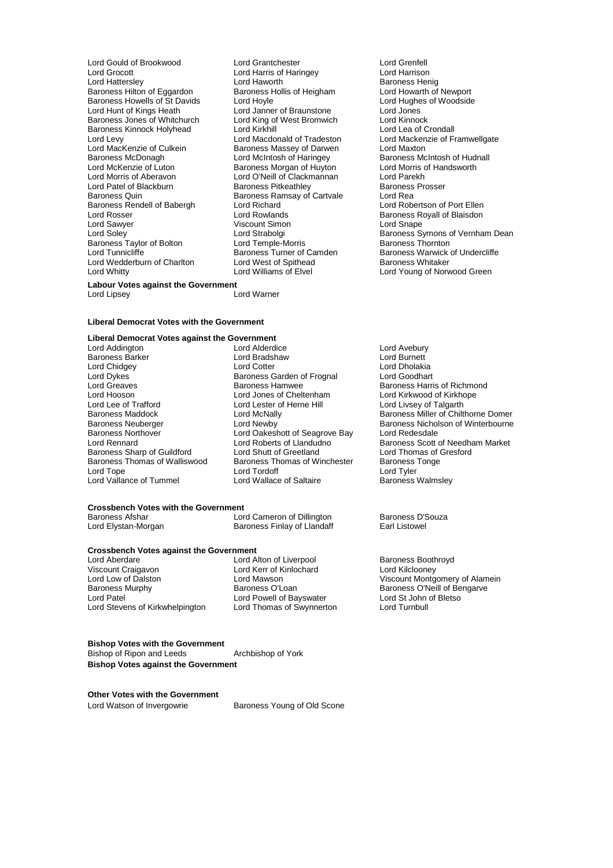Lord Grocott **Lord Harris of Haringey**<br>
Lord Hattersley **Lord Haworth** Baroness Hilton of Eggardon Baroness Hollis of Heigham Lord Howarth of Newport<br>Baroness Howells of St Davids Lord Hovle Lord Hughes of Woodside Baroness Howells of St Davids Lord Hoyle<br>
Lord Hunt of Kings Heath Lord Janner of Braunstone Lord Jones Baroness Jones of Whitchurch Lord King of West Bromwich Lord Kinnock Baroness Kinnock Holyhead Lord Kirkhill Lord Levy<br>
Lord MacKenzie of Culkein<br>
Lord MacKenzie of Culkein<br>
Baroness Massey of Darwen<br>
Lord Maxton Lord MacKenzie of Culkein **Baroness Massey of Darwen** Lord Maxton<br>Baroness McDonagh **Baroness Lord McIntosh of Haringey** Baroness McIntosh of Hudnall Baroness McDonagh **Lord McIntosh of Haringey** Baroness McIntosh of Hudnall Derd McKenzie of Luton<br>Lord McKenzie of Luton Baroness Morgan of Huyton Lord Morris of Handsworth Lord McKenzie of Luton **Baroness Morgan of Huyton** Lord Morris c<br>
Lord Morris of Aberavon Lord O'Neill of Clackmannan Lord Parekh Lord Morris of Aberavon Lord O'Neill of Clackmannan Lord Parekh Lord Patel of Blackburn Baroness Pitkeathley Baroness<br>
Baroness Duin Baroness Ramsay of Cartyale Lord Rea Baroness Rendell of Babergh Lord Richard<br>
Lord Rosser Cord Electric Lord Rowlands Lord Sawyer Viscount Simon Lord Soley<br>
Lord Soley Communication Lord Strabolgi Lord Soley<br>
Baroness Taylor of Bolton Lord Temple-Morris<br>
Lord Tunnicliffe Baroness Turner of Camden Lord Wedderburn of Charlton Lord West of Spithead<br>Lord Whitty Lord Williams of Elvel

Lord Gould of Brookwood Lord Grantchester Lord Grenfell Lord Haworth **Baroness Henig<br>
Baroness Henig<br>
Baroness Hollis of Heigham Lord Howarth of Newport** Lord Janner of Braunstone Lord Jones<br>
Lord King of West Bromwich Lord Kinnock Baroness Ramsay of Cartvale<br>
Lord Rea<br>
Lord Richard

Lord Robertson of Port Ellen Lord Rowlands<br>
Viscount Simon<br>
Lord Snape<br>
Lord Snape

Lord Strabolgi **Baroness** Symons of Vernham Dean<br>
Lord Temple-Morris **Baroness** Thornton Exercises Turner of Camden Baroness Warwick of Undercliffe Lord West of Spithead Baroness Whitaker Lord Young of Norwood Green

### **Labour Votes against the Government**<br>Lord Linsey

Lord Lipsey

#### **Liberal Democrat Votes with the Government**

## **Liberal Democrat Votes against the Government**

Lord Addington **Lord Alderdice** Lord Avebury<br>
Baroness Barker **Lord Avebury** Lord Bradshaw **Lord Burnett** Lord Dykes **Baroness Garden of Frognal**<br>
Lord Greaves **Baroness Hamwee** Lord Lee of Trafford Lord Lester of Herne Hill<br>
Baroness Maddock Lord McNally Baroness Northover Lord Oakeshott of Seagrove Bay<br>Lord Rennard Lord Roberts of Llandudno Baroness Thomas of Walliswood Baroness Thomas of Walliswood Baroness Thomas Thomas Thomas Thomas Oriental Baroness Th Lord Vallance of Tummel

Baroness Barker Lord Bradshaw Lord Burnett Lord Chidgey **Lord Cotter Lord Cotter** Lord Cotter Lord Dholakia<br>
Lord Dykes **Contains Container Container Container** Lord Goodhart Lord Hooson Lord Jones of Cheltenham Lord Kirkwood of Kirkhope<br>
Lord Lee of Trafford Lord Lord Lester of Herne Hill Lord Livsey of Talgarth Baroness Sharp of Guildford Lord Shutt of Greetland Lord Thomas of Greetland Lord Thomas of Villiswood Baroness Thomas of Greetland Charoness Tonge Lord Tordoff<br>
Lord Wallace of Saltaire<br>
Lord Wallace of Saltaire<br>
Baroness Walmsley

#### **Crossbench Votes with the Government**

| Baroness Afshar     | Lord Cameron of Dillington  | Baroness D'Souza |
|---------------------|-----------------------------|------------------|
| Lord Elystan-Morgan | Baroness Finlay of Llandaff | Earl Listowel    |

## **Crossbench Votes against the Government**<br>Lord Aberdare Lord Al

Lord Aberdare **Lord Alton of Liverpool** Baroness Boothroyd<br>
Viscount Craigavon **Lord Kerry Control Control Control** Lord Kilclooney Viscount Craigavon Lord Kerr of Kinlochard<br>
Lord Low of Dalston<br>
Lord Mawson Lord Patel Cord Powell of Bayswater Cord St John<br>
Lord Stevens of Kirkwhelpington Lord Thomas of Swynnerton Lord Turnbull Lord Stevens of Kirkwhelpington

Baroness Harris of Richmond Baroness Maddock Lord McNally Baroness Miller of Chilthorne Domer Baroness Neuberger Lord Newby Baroness Nicholson of Winterbourne<br>
Baroness Northover Lord Oakeshott of Seagrove Bay Lord Redesdale Lord Roberts of Llandudno<br>
Lord Shutt of Greetland Lord Thomas of Gresford

Lord Low of Dalston Lord Mawson Lord Mawson Viscount Montgomery of Alamein<br>
Baroness Murphy Caroness O'Loan Baroness O'Neill of Bengarve Baroness O'Neill of Bengarve<br>Lord St John of Bletso

**Bishop Votes with the Government** Bishop of Ripon and Leeds **Archbishop of York Bishop Votes against the Government**

**Other Votes with the Government** Lord Watson of Invergowrie **Baroness Young of Old Scone**